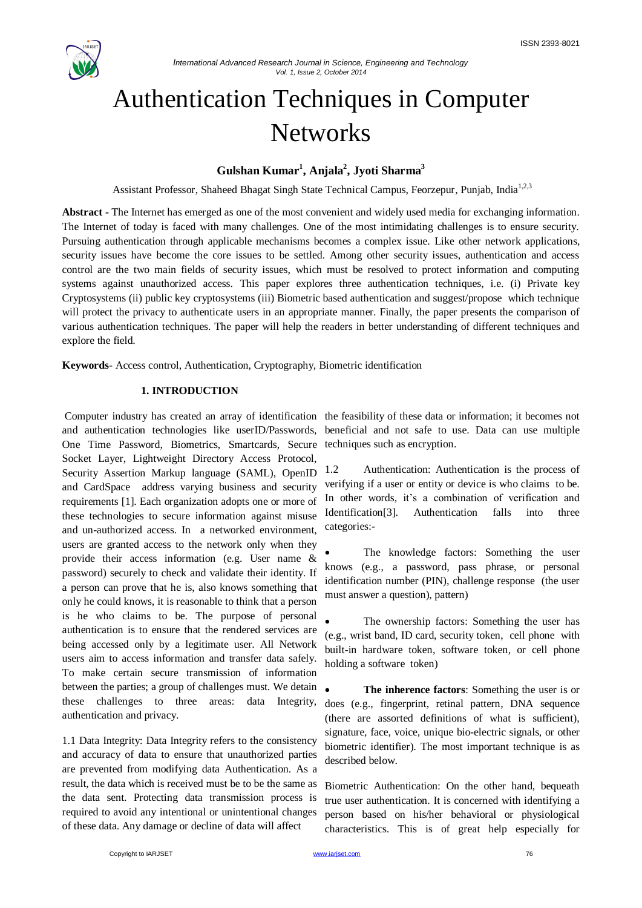

# Authentication Techniques in Computer **Networks**

## **Gulshan Kumar<sup>1</sup> , Anjala<sup>2</sup> , Jyoti Sharma<sup>3</sup>**

Assistant Professor, Shaheed Bhagat Singh State Technical Campus, Feorzepur, Punjab, India<sup>1,2,3</sup>

**Abstract -** The Internet has emerged as one of the most convenient and widely used media for exchanging information. The Internet of today is faced with many challenges. One of the most intimidating challenges is to ensure security. Pursuing authentication through applicable mechanisms becomes a complex issue. Like other network applications, security issues have become the core issues to be settled. Among other security issues, authentication and access control are the two main fields of security issues, which must be resolved to protect information and computing systems against unauthorized access. This paper explores three authentication techniques, i.e. (i) Private key Cryptosystems (ii) public key cryptosystems (iii) Biometric based authentication and suggest/propose which technique will protect the privacy to authenticate users in an appropriate manner. Finally, the paper presents the comparison of various authentication techniques. The paper will help the readers in better understanding of different techniques and explore the field.

**Keywords**- Access control, Authentication, Cryptography, Biometric identification

## **1. INTRODUCTION**

and authentication technologies like userID/Passwords, beneficial and not safe to use. Data can use multiple One Time Password, Biometrics, Smartcards, Secure techniques such as encryption. Socket Layer, Lightweight Directory Access Protocol, Security Assertion Markup language (SAML), OpenID and CardSpace address varying business and security requirements [1]. Each organization adopts one or more of these technologies to secure information against misuse and un-authorized access. In a networked environment, users are granted access to the network only when they provide their access information (e.g. User name & password) securely to check and validate their identity. If a person can prove that he is, also knows something that only he could knows, it is reasonable to think that a person is he who claims to be. The purpose of personal authentication is to ensure that the rendered services are being accessed only by a legitimate user. All Network users aim to access information and transfer data safely. To make certain secure transmission of information between the parties; a group of challenges must. We detain these challenges to three areas: data Integrity, authentication and privacy.

1.1 Data Integrity: Data Integrity refers to the consistency and accuracy of data to ensure that unauthorized parties are prevented from modifying data Authentication. As a result, the data which is received must be to be the same as the data sent. Protecting data transmission process is required to avoid any intentional or unintentional changes of these data. Any damage or decline of data will affect

Computer industry has created an array of identification the feasibility of these data or information; it becomes not

1.2 Authentication: Authentication is the process of verifying if a user or entity or device is who claims to be. In other words, it's a combination of verification and Identification<sup>[3]</sup>. Authentication falls into three categories:-

 The knowledge factors: Something the user knows (e.g., a password, pass phrase, or personal identification number (PIN), challenge response (the user must answer a question), pattern)

 The ownership factors: Something the user has (e.g., wrist band, ID card, security token, cell phone with built-in hardware token, software token, or cell phone holding a software token)

 **The inherence factors**: Something the user is or does (e.g., fingerprint, retinal pattern, DNA sequence (there are assorted definitions of what is sufficient), signature, face, voice, unique bio-electric signals, or other biometric identifier). The most important technique is as described below.

Biometric Authentication: On the other hand, bequeath true user authentication. It is concerned with identifying a person based on his/her behavioral or physiological characteristics. This is of great help especially for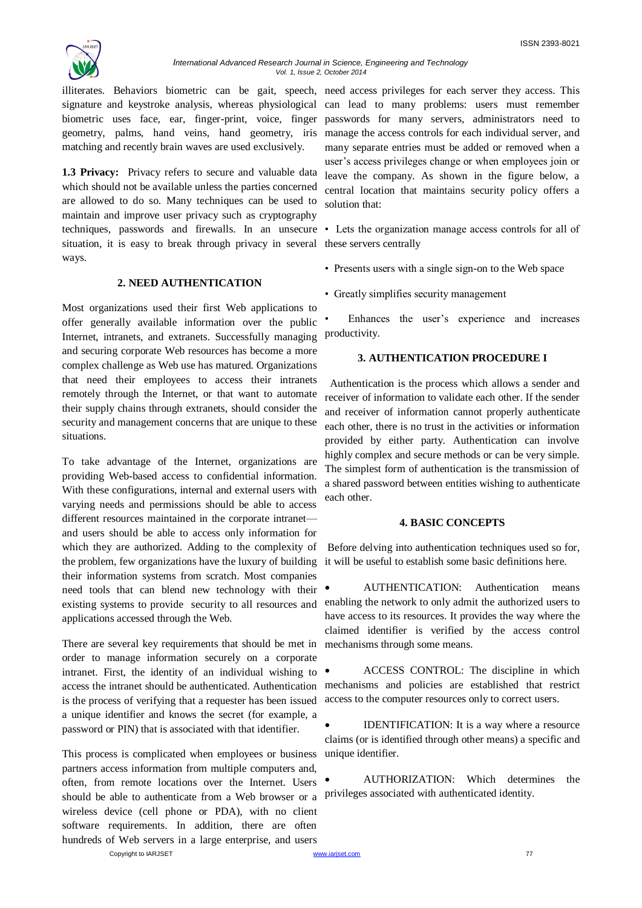

signature and keystroke analysis, whereas physiological can lead to many problems: users must remember biometric uses face, ear, finger-print, voice, finger passwords for many servers, administrators need to geometry, palms, hand veins, hand geometry, iris matching and recently brain waves are used exclusively.

**1.3 Privacy:** Privacy refers to secure and valuable data which should not be available unless the parties concerned are allowed to do so. Many techniques can be used to maintain and improve user privacy such as cryptography techniques, passwords and firewalls. In an unsecure situation, it is easy to break through privacy in several these servers centrally ways.

## **2. NEED AUTHENTICATION**

Most organizations used their first Web applications to offer generally available information over the public Internet, intranets, and extranets. Successfully managing and securing corporate Web resources has become a more complex challenge as Web use has matured. Organizations that need their employees to access their intranets remotely through the Internet, or that want to automate their supply chains through extranets, should consider the security and management concerns that are unique to these situations.

To take advantage of the Internet, organizations are providing Web-based access to confidential information. With these configurations, internal and external users with varying needs and permissions should be able to access different resources maintained in the corporate intranetand users should be able to access only information for which they are authorized. Adding to the complexity of the problem, few organizations have the luxury of building their information systems from scratch. Most companies need tools that can blend new technology with their existing systems to provide security to all resources and applications accessed through the Web.

There are several key requirements that should be met in order to manage information securely on a corporate intranet. First, the identity of an individual wishing to  $\bullet$ is the process of verifying that a requester has been issued a unique identifier and knows the secret (for example, a password or PIN) that is associated with that identifier.

This process is complicated when employees or business partners access information from multiple computers and, often, from remote locations over the Internet. Users should be able to authenticate from a Web browser or a wireless device (cell phone or PDA), with no client software requirements. In addition, there are often hundreds of Web servers in a large enterprise, and users

illiterates. Behaviors biometric can be gait, speech, need access privileges for each server they access. This manage the access controls for each individual server, and many separate entries must be added or removed when a user's access privileges change or when employees join or leave the company. As shown in the figure below, a central location that maintains security policy offers a solution that:

• Lets the organization manage access controls for all of

- Presents users with a single sign-on to the Web space
- Greatly simplifies security management

Enhances the user's experience and increases productivity.

### **3. AUTHENTICATION PROCEDURE I**

 Authentication is the process which allows a sender and receiver of information to validate each other. If the sender and receiver of information cannot properly authenticate each other, there is no trust in the activities or information provided by either party. Authentication can involve highly complex and secure methods or can be very simple. The simplest form of authentication is the transmission of a shared password between entities wishing to authenticate each other.

#### **4. BASIC CONCEPTS**

Before delving into authentication techniques used so for, it will be useful to establish some basic definitions here.

 AUTHENTICATION: Authentication means enabling the network to only admit the authorized users to have access to its resources. It provides the way where the claimed identifier is verified by the access control mechanisms through some means.

access the intranet should be authenticated. Authentication mechanisms and policies are established that restrict ACCESS CONTROL: The discipline in which access to the computer resources only to correct users.

> IDENTIFICATION: It is a way where a resource claims (or is identified through other means) a specific and unique identifier.

> AUTHORIZATION: Which determines the privileges associated with authenticated identity.

Copyright to IARJSET **www.iariset.com www.iariset.com 17**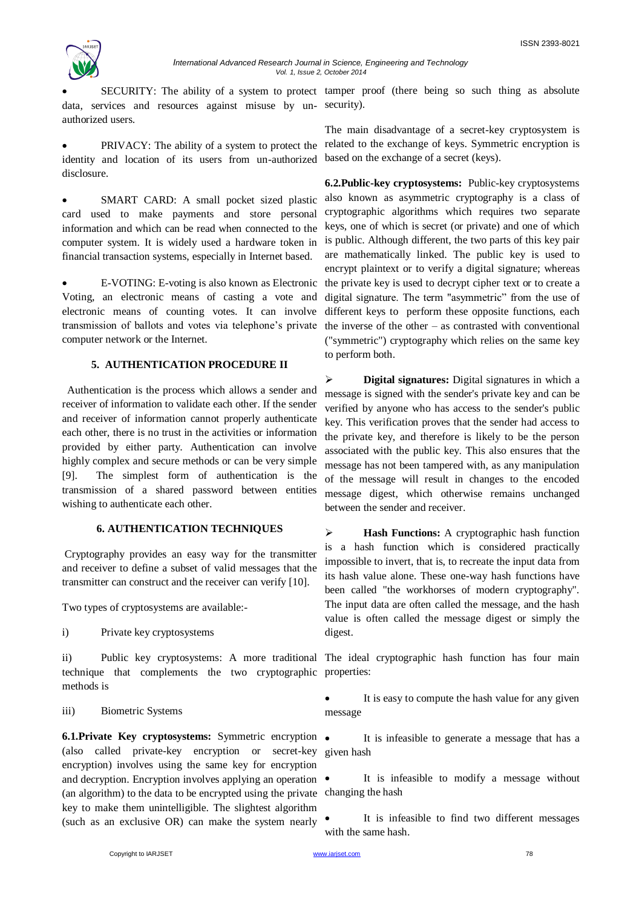

*International Advanced Research Journal in Science, Engineering and Technology Vol. 1, Issue 2, October 2014*

data, services and resources against misuse by un-security). authorized users.

 PRIVACY: The ability of a system to protect the related to the exchange of keys. Symmetric encryption is identity and location of its users from un-authorized based on the exchange of a secret (keys). disclosure.

 SMART CARD: A small pocket sized plastic card used to make payments and store personal information and which can be read when connected to the computer system. It is widely used a hardware token in financial transaction systems, especially in Internet based.

 E-VOTING: E-voting is also known as Electronic Voting, an electronic means of casting a vote and electronic means of counting votes. It can involve transmission of ballots and votes via telephone's private computer network or the Internet.

## **5. AUTHENTICATION PROCEDURE II**

 Authentication is the process which allows a sender and receiver of information to validate each other. If the sender and receiver of information cannot properly authenticate each other, there is no trust in the activities or information provided by either party. Authentication can involve highly complex and secure methods or can be very simple [9]. The simplest form of authentication is the transmission of a shared password between entities wishing to authenticate each other.

## **6. AUTHENTICATION TECHNIQUES**

Cryptography provides an easy way for the transmitter and receiver to define a subset of valid messages that the transmitter can construct and the receiver can verify [10].

Two types of cryptosystems are available:-

i) Private key cryptosystems

technique that complements the two cryptographic properties: methods is

#### iii) Biometric Systems

**6.1.Private Key cryptosystems:** Symmetric encryption (also called private-key encryption or secret-key given hash encryption) involves using the same key for encryption and decryption. Encryption involves applying an operation  $\bullet$ (an algorithm) to the data to be encrypted using the private changing the hash key to make them unintelligible. The slightest algorithm (such as an exclusive OR) can make the system nearly

SECURITY: The ability of a system to protect tamper proof (there being so such thing as absolute

The main disadvantage of a secret-key cryptosystem is

**6.2.Public-key cryptosystems:** Public-key cryptosystems also known as asymmetric cryptography is a class of cryptographic algorithms which requires two separate keys, one of which is secret (or private) and one of which is public. Although different, the two parts of this key pair are mathematically linked. The public key is used to encrypt plaintext or to verify a digital signature; whereas the private key is used to decrypt cipher text or to create a digital signature. The term "asymmetric" from the use of different keys to perform these opposite functions, each the inverse of the other – as contrasted with conventional ("symmetric") cryptography which relies on the same key to perform both.

 **Digital signatures:** Digital signatures in which a message is signed with the sender's private key and can be verified by anyone who has access to the sender's public key. This verification proves that the sender had access to the private key, and therefore is likely to be the person associated with the public key. This also ensures that the message has not been tampered with, as any manipulation of the message will result in changes to the encoded message digest, which otherwise remains unchanged between the sender and receiver.

 **Hash Functions:** A cryptographic hash function is a hash function which is considered practically impossible to invert, that is, to recreate the input data from its hash value alone. These one-way hash functions have been called "the workhorses of modern cryptography". The input data are often called the message, and the hash value is often called the message digest or simply the digest.

ii) Public key cryptosystems: A more traditional The ideal cryptographic hash function has four main

 It is easy to compute the hash value for any given message

It is infeasible to generate a message that has a

It is infeasible to modify a message without

 It is infeasible to find two different messages with the same hash.